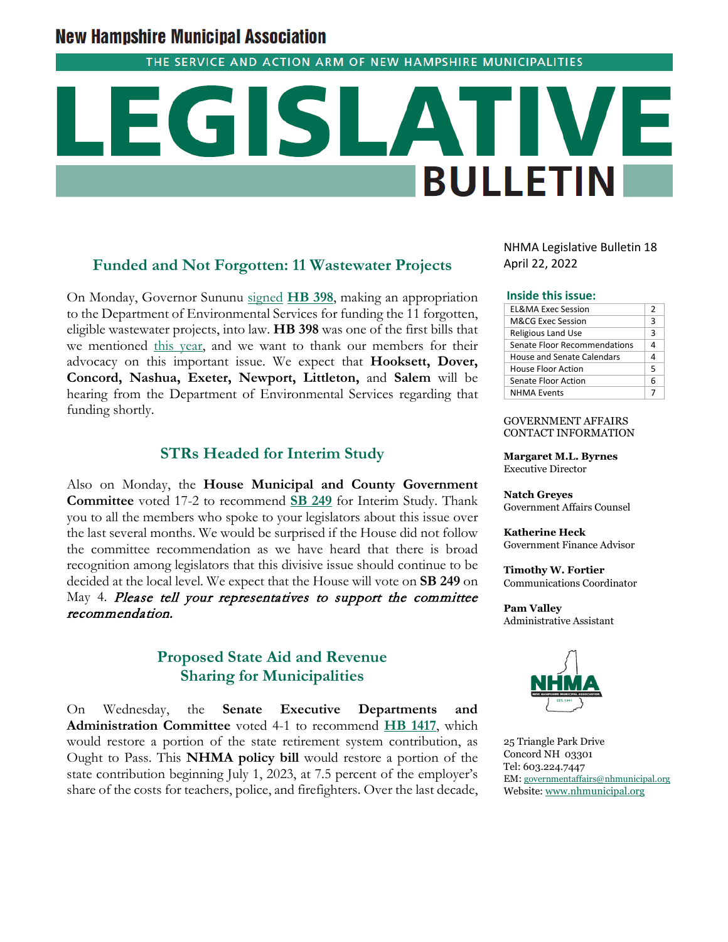# **New Hampshire Municipal Association**

THE SERVICE AND ACTION ARM OF NEW HAMPSHIRE MUNICIPALITIES

# **BULLETIN**

# **Funded and Not Forgotten: 11 Wastewater Projects**

On Monday, Governor Sununu [signed](https://www.governor.nh.gov/news-and-media/governor-chris-sununu-signs-11-bills-law) **[HB 398](http://www.gencourt.state.nh.us/bill_status/pdf.aspx?id=34759&q=billVersion)**, making an appropriation to the Department of Environmental Services for funding the 11 forgotten, eligible wastewater projects, into law. **HB 398** was one of the first bills that we mentioned [this year,](https://www.nhmunicipal.org/legislative-bulletin/2022-nhma-legislative-bulletin-01#26106) and we want to thank our members for their advocacy on this important issue. We expect that **Hooksett, Dover, Concord, Nashua, Exeter, Newport, Littleton,** and **Salem** will be hearing from the Department of Environmental Services regarding that funding shortly.

# **STRs Headed for Interim Study**

Also on Monday, the **House Municipal and County Government Committee** voted 17-2 to recommend **[SB 249](http://www.gencourt.state.nh.us/bill_status/billinfo.aspx?id=2064&inflect=2)** for Interim Study. Thank you to all the members who spoke to your legislators about this issue over the last several months. We would be surprised if the House did not follow the committee recommendation as we have heard that there is broad recognition among legislators that this divisive issue should continue to be decided at the local level. We expect that the House will vote on **SB 249** on May 4. Please tell your representatives to support the committee recommendation.

### **Proposed State Aid and Revenue Sharing for Municipalities**

On Wednesday, the **Senate Executive Departments and Administration Committee** voted 4-1 to recommend **[HB 1417](http://www.gencourt.state.nh.us/lsr_search/billText.aspx?id=1912&type=4)**, which would restore a portion of the state retirement system contribution, as Ought to Pass. This **NHMA policy bill** would restore a portion of the state contribution beginning July 1, 2023, at 7.5 percent of the employer's share of the costs for teachers, police, and firefighters. Over the last decade, NHMA Legislative Bulletin 18 April 22, 2022

### **Inside this issue:**

| <b>EL&amp;MA Exec Session</b> | 2 |
|-------------------------------|---|
| M&CG Exec Session             | 3 |
| <b>Religious Land Use</b>     | 3 |
| Senate Floor Recommendations  | 4 |
| House and Senate Calendars    | 4 |
| <b>House Floor Action</b>     | 5 |
| Senate Floor Action           | 6 |
| <b>NHMA Events</b>            |   |

GOVERNMENT AFFAIRS CONTACT INFORMATION

**Margaret M.L. Byrnes** Executive Director

**Natch Greyes** Government Affairs Counsel

**Katherine Heck** Government Finance Advisor

**Timothy W. Fortier** Communications Coordinator

**Pam Valley** Administrative Assistant



25 Triangle Park Drive Concord NH 03301 Tel: 603.224.7447 EM: [governmentaffairs@nhmunicipal.org](mailto:governmentaffairs@nhmunicipal.org) Website: [www.nhmunicipal.org](http://www.nhmunicipal.org/)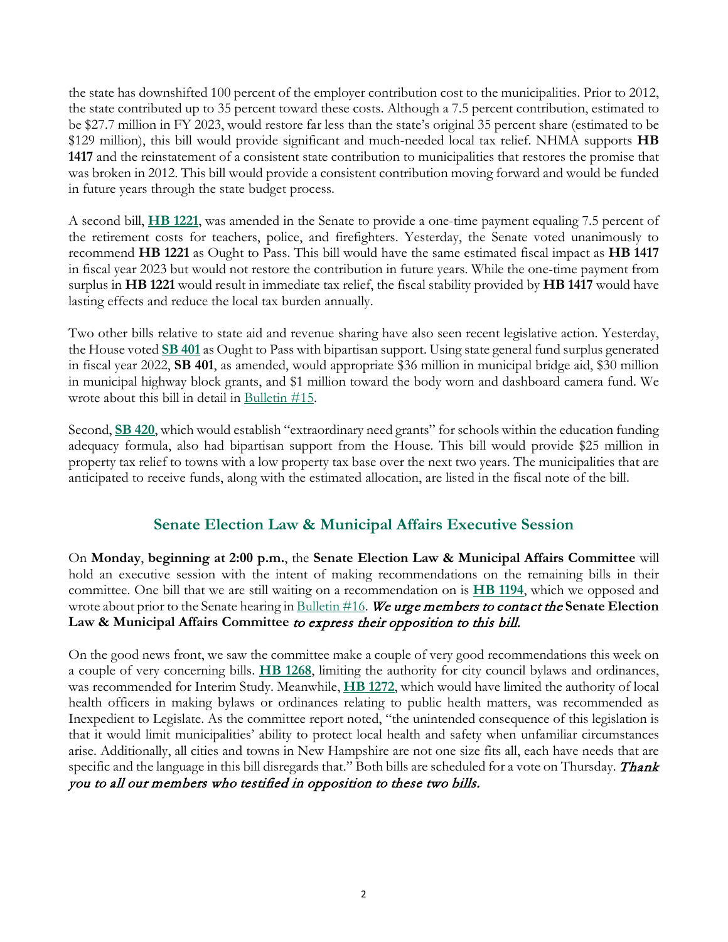the state has downshifted 100 percent of the employer contribution cost to the municipalities. Prior to 2012, the state contributed up to 35 percent toward these costs. Although a 7.5 percent contribution, estimated to be \$27.7 million in FY 2023, would restore far less than the state's original 35 percent share (estimated to be \$129 million), this bill would provide significant and much-needed local tax relief. NHMA supports **HB 1417** and the reinstatement of a consistent state contribution to municipalities that restores the promise that was broken in 2012. This bill would provide a consistent contribution moving forward and would be funded in future years through the state budget process.

A second bill, **[HB 1221](http://www.gencourt.state.nh.us/bill_status/pdf.aspx?id=34444&q=amendment)**, was amended in the Senate to provide a one-time payment equaling 7.5 percent of the retirement costs for teachers, police, and firefighters. Yesterday, the Senate voted unanimously to recommend **HB 1221** as Ought to Pass. This bill would have the same estimated fiscal impact as **HB 1417** in fiscal year 2023 but would not restore the contribution in future years. While the one-time payment from surplus in **HB 1221** would result in immediate tax relief, the fiscal stability provided by **HB 1417** would have lasting effects and reduce the local tax burden annually.

Two other bills relative to state aid and revenue sharing have also seen recent legislative action. Yesterday, the House voted **[SB 401](http://www.gencourt.state.nh.us/bill_status/pdf.aspx?id=33865&q=billVersion)** as Ought to Pass with bipartisan support. Using state general fund surplus generated in fiscal year 2022, **SB 401**, as amended, would appropriate \$36 million in municipal bridge aid, \$30 million in municipal highway block grants, and \$1 million toward the body worn and dashboard camera fund. We wrote about this bill in detail in Bulletin  $#15$ .

Second, **[SB 420](http://www.gencourt.state.nh.us/bill_status/pdf.aspx?id=34917&q=billVersion)**, which would establish "extraordinary need grants" for schools within the education funding adequacy formula, also had bipartisan support from the House. This bill would provide \$25 million in property tax relief to towns with a low property tax base over the next two years. The municipalities that are anticipated to receive funds, along with the estimated allocation, are listed in the fiscal note of the bill.

# **Senate Election Law & Municipal Affairs Executive Session**

On **Monday**, **beginning at 2:00 p.m.**, the **Senate Election Law & Municipal Affairs Committee** will hold an executive session with the intent of making recommendations on the remaining bills in their committee. One bill that we are still waiting on a recommendation on is **[HB 1194](http://www.gencourt.state.nh.us/bill_status/pdf.aspx?id=27492&q=billVersion)**, which we opposed and wrote about prior to the Senate hearing i[n Bulletin #16.](https://www.nhmunicipal.org/legislative-bulletin/2022-nhma-legislative-bulletin-16#27578) We urge members to contact the **Senate Election Law & Municipal Affairs Committee** to express their opposition to this bill.

On the good news front, we saw the committee make a couple of very good recommendations this week on a couple of very concerning bills. **[HB 1268](http://www.gencourt.state.nh.us/bill_status/pdf.aspx?id=33004&q=billVersion)**, limiting the authority for city council bylaws and ordinances, was recommended for Interim Study. Meanwhile, **[HB 1272](http://www.gencourt.state.nh.us/bill_status/pdf.aspx?id=33226&q=billVersion)**, which would have limited the authority of local health officers in making bylaws or ordinances relating to public health matters, was recommended as Inexpedient to Legislate. As the committee report noted, "the unintended consequence of this legislation is that it would limit municipalities' ability to protect local health and safety when unfamiliar circumstances arise. Additionally, all cities and towns in New Hampshire are not one size fits all, each have needs that are specific and the language in this bill disregards that." Both bills are scheduled for a vote on Thursday. Thank you to all our members who testified in opposition to these two bills.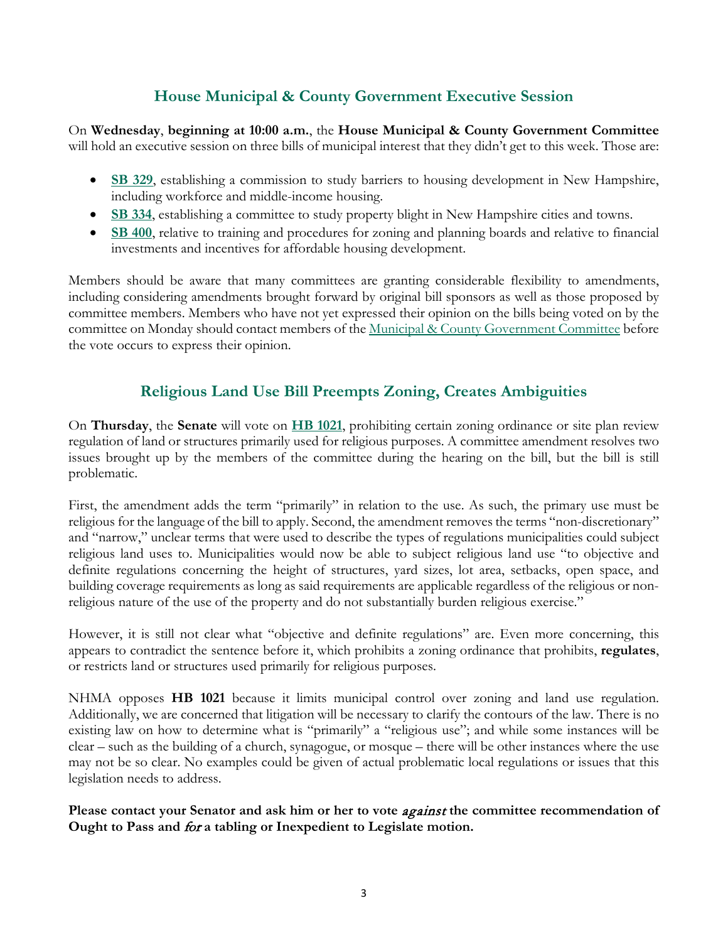# **House Municipal & County Government Executive Session**

On **Wednesday**, **beginning at 10:00 a.m.**, the **House Municipal & County Government Committee** will hold an executive session on three bills of municipal interest that they didn't get to this week. Those are:

- **[SB 329](http://www.gencourt.state.nh.us/bill_Status/pdf.aspx?id=31213&q=billVersion)**, establishing a commission to study barriers to housing development in New Hampshire, including workforce and middle-income housing.
- **[SB 334](http://www.gencourt.state.nh.us/bill_Status/pdf.aspx?id=33231&q=billVersion)**, establishing a committee to study property blight in New Hampshire cities and towns.
- **[SB 400](http://www.gencourt.state.nh.us/bill_Status/pdf.aspx?id=33314&q=billVersion)**, relative to training and procedures for zoning and planning boards and relative to financial investments and incentives for affordable housing development.

Members should be aware that many committees are granting considerable flexibility to amendments, including considering amendments brought forward by original bill sponsors as well as those proposed by committee members. Members who have not yet expressed their opinion on the bills being voted on by the committee on Monday should contact members of the <u>Municipal & County Government Committee</u> before the vote occurs to express their opinion.

# **Religious Land Use Bill Preempts Zoning, Creates Ambiguities**

On **Thursday**, the **Senate** will vote on **[HB 1021](http://www.gencourt.state.nh.us/bill_status/pdf.aspx?id=34772&q=amendment)**, prohibiting certain zoning ordinance or site plan review regulation of land or structures primarily used for religious purposes. A committee amendment resolves two issues brought up by the members of the committee during the hearing on the bill, but the bill is still problematic.

First, the amendment adds the term "primarily" in relation to the use. As such, the primary use must be religious for the language of the bill to apply. Second, the amendment removes the terms "non-discretionary" and "narrow," unclear terms that were used to describe the types of regulations municipalities could subject religious land uses to. Municipalities would now be able to subject religious land use "to objective and definite regulations concerning the height of structures, yard sizes, lot area, setbacks, open space, and building coverage requirements as long as said requirements are applicable regardless of the religious or nonreligious nature of the use of the property and do not substantially burden religious exercise."

However, it is still not clear what "objective and definite regulations" are. Even more concerning, this appears to contradict the sentence before it, which prohibits a zoning ordinance that prohibits, **regulates**, or restricts land or structures used primarily for religious purposes.

NHMA opposes **HB 1021** because it limits municipal control over zoning and land use regulation. Additionally, we are concerned that litigation will be necessary to clarify the contours of the law. There is no existing law on how to determine what is "primarily" a "religious use"; and while some instances will be clear – such as the building of a church, synagogue, or mosque – there will be other instances where the use may not be so clear. No examples could be given of actual problematic local regulations or issues that this legislation needs to address.

Please contact your Senator and ask him or her to vote *against* the committee recommendation of **Ought to Pass and** for **a tabling or Inexpedient to Legislate motion.**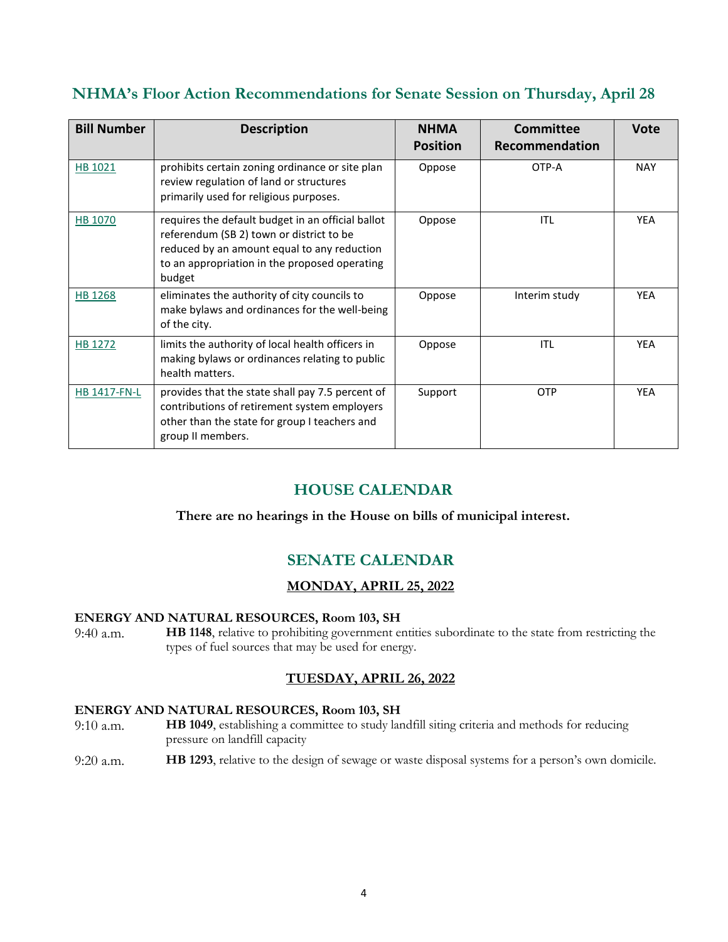# **NHMA's Floor Action Recommendations for Senate Session on Thursday, April 28**

| <b>Bill Number</b> | <b>Description</b>                                                                                                                                                                                      | <b>NHMA</b><br><b>Position</b> | <b>Committee</b><br>Recommendation | <b>Vote</b> |
|--------------------|---------------------------------------------------------------------------------------------------------------------------------------------------------------------------------------------------------|--------------------------------|------------------------------------|-------------|
| HB 1021            | prohibits certain zoning ordinance or site plan<br>review regulation of land or structures<br>primarily used for religious purposes.                                                                    | Oppose                         | OTP-A                              | <b>NAY</b>  |
| HB 1070            | requires the default budget in an official ballot<br>referendum (SB 2) town or district to be<br>reduced by an amount equal to any reduction<br>to an appropriation in the proposed operating<br>budget | Oppose                         | <b>ITL</b>                         | <b>YEA</b>  |
| HB 1268            | eliminates the authority of city councils to<br>make bylaws and ordinances for the well-being<br>of the city.                                                                                           | Oppose                         | Interim study                      | <b>YEA</b>  |
| HB 1272            | limits the authority of local health officers in<br>making bylaws or ordinances relating to public<br>health matters.                                                                                   | Oppose                         | <b>ITL</b>                         | <b>YEA</b>  |
| HB 1417-FN-L       | provides that the state shall pay 7.5 percent of<br>contributions of retirement system employers<br>other than the state for group I teachers and<br>group II members.                                  | Support                        | <b>OTP</b>                         | <b>YEA</b>  |

# **HOUSE CALENDAR**

### **There are no hearings in the House on bills of municipal interest.**

# **SENATE CALENDAR**

### **MONDAY, APRIL 25, 2022**

### **ENERGY AND NATURAL RESOURCES, Room 103, SH**

9:40 a.m. **HB 1148**, relative to prohibiting government entities subordinate to the state from restricting the types of fuel sources that may be used for energy.

### **TUESDAY, APRIL 26, 2022**

### **ENERGY AND NATURAL RESOURCES, Room 103, SH**

9:10 a.m. **HB 1049**, establishing a committee to study landfill siting criteria and methods for reducing pressure on landfill capacity

9:20 a.m. **HB 1293**, relative to the design of sewage or waste disposal systems for a person's own domicile.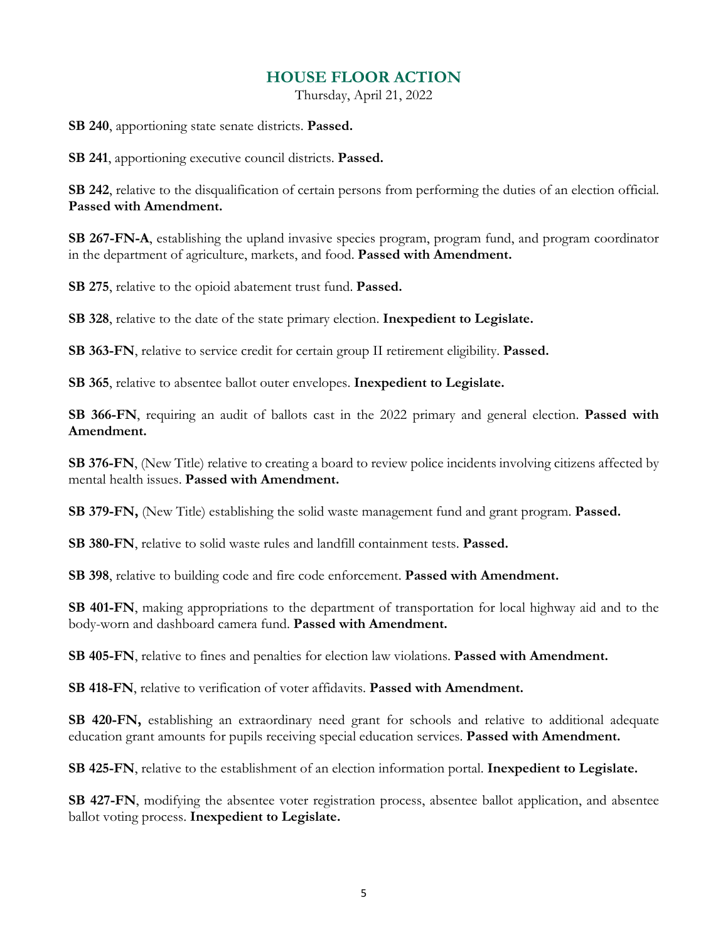## **HOUSE FLOOR ACTION**

Thursday, April 21, 2022

**SB 240**, apportioning state senate districts. **Passed.** 

**SB 241**, apportioning executive council districts. **Passed.**

**SB 242**, relative to the disqualification of certain persons from performing the duties of an election official. **Passed with Amendment.**

**SB 267-FN-A**, establishing the upland invasive species program, program fund, and program coordinator in the department of agriculture, markets, and food. **Passed with Amendment.**

**SB 275**, relative to the opioid abatement trust fund. **Passed.**

**SB 328**, relative to the date of the state primary election. **Inexpedient to Legislate.**

**SB 363-FN**, relative to service credit for certain group II retirement eligibility. **Passed.**

**SB 365**, relative to absentee ballot outer envelopes. **Inexpedient to Legislate.** 

**SB 366-FN**, requiring an audit of ballots cast in the 2022 primary and general election. **Passed with Amendment.**

**SB 376-FN**, (New Title) relative to creating a board to review police incidents involving citizens affected by mental health issues. **Passed with Amendment.**

**SB 379-FN,** (New Title) establishing the solid waste management fund and grant program. **Passed.**

**SB 380-FN**, relative to solid waste rules and landfill containment tests. **Passed.**

**SB 398**, relative to building code and fire code enforcement. **Passed with Amendment.**

**SB 401-FN**, making appropriations to the department of transportation for local highway aid and to the body-worn and dashboard camera fund. **Passed with Amendment.**

**SB 405-FN**, relative to fines and penalties for election law violations. **Passed with Amendment.**

**SB 418-FN**, relative to verification of voter affidavits. **Passed with Amendment.** 

**SB 420-FN,** establishing an extraordinary need grant for schools and relative to additional adequate education grant amounts for pupils receiving special education services. **Passed with Amendment.** 

**SB 425-FN**, relative to the establishment of an election information portal. **Inexpedient to Legislate.** 

**SB 427-FN**, modifying the absentee voter registration process, absentee ballot application, and absentee ballot voting process. **Inexpedient to Legislate.**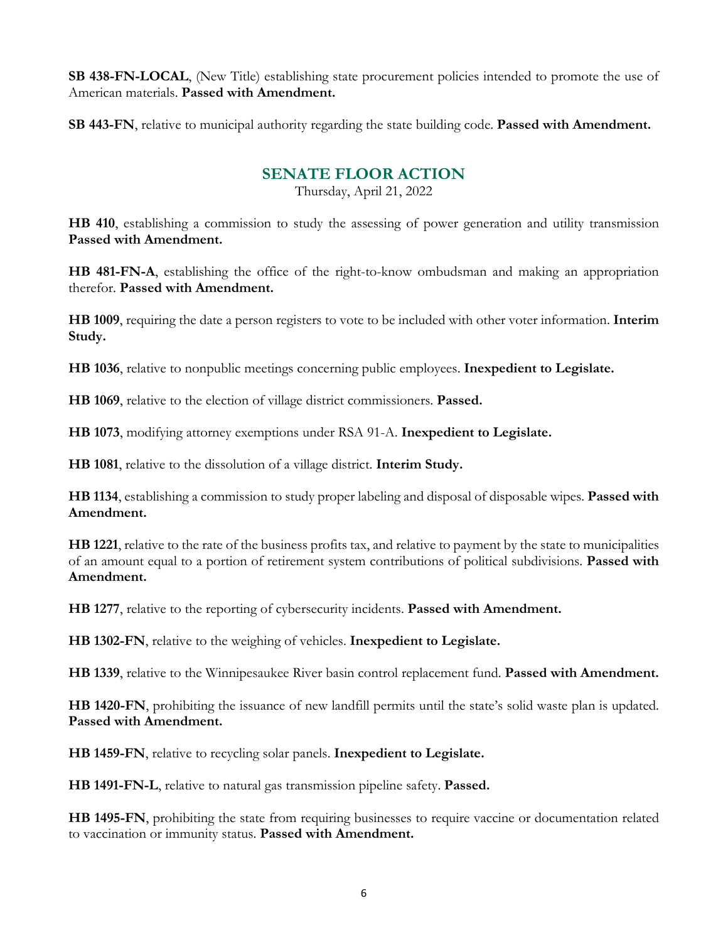**SB 438-FN-LOCAL**, (New Title) establishing state procurement policies intended to promote the use of American materials. **Passed with Amendment.** 

**SB 443-FN**, relative to municipal authority regarding the state building code. **Passed with Amendment.**

# **SENATE FLOOR ACTION**

Thursday, April 21, 2022

**HB 410**, establishing a commission to study the assessing of power generation and utility transmission **Passed with Amendment.**

**HB 481-FN-A**, establishing the office of the right-to-know ombudsman and making an appropriation therefor. **Passed with Amendment.**

**HB 1009**, requiring the date a person registers to vote to be included with other voter information. **Interim Study.**

**HB 1036**, relative to nonpublic meetings concerning public employees. **Inexpedient to Legislate.**

**HB 1069**, relative to the election of village district commissioners. **Passed.**

**HB 1073**, modifying attorney exemptions under RSA 91-A. **Inexpedient to Legislate.**

**HB 1081**, relative to the dissolution of a village district. **Interim Study.**

**HB 1134**, establishing a commission to study proper labeling and disposal of disposable wipes. **Passed with Amendment.**

**HB 1221**, relative to the rate of the business profits tax, and relative to payment by the state to municipalities of an amount equal to a portion of retirement system contributions of political subdivisions. **Passed with Amendment.**

**HB 1277**, relative to the reporting of cybersecurity incidents. **Passed with Amendment.**

**HB 1302-FN**, relative to the weighing of vehicles. **Inexpedient to Legislate.**

**HB 1339**, relative to the Winnipesaukee River basin control replacement fund. **Passed with Amendment.**

**HB 1420-FN**, prohibiting the issuance of new landfill permits until the state's solid waste plan is updated. **Passed with Amendment.**

**HB 1459-FN**, relative to recycling solar panels. **Inexpedient to Legislate.**

**HB 1491-FN-L**, relative to natural gas transmission pipeline safety. **Passed.**

**HB 1495-FN**, prohibiting the state from requiring businesses to require vaccine or documentation related to vaccination or immunity status. **Passed with Amendment.**